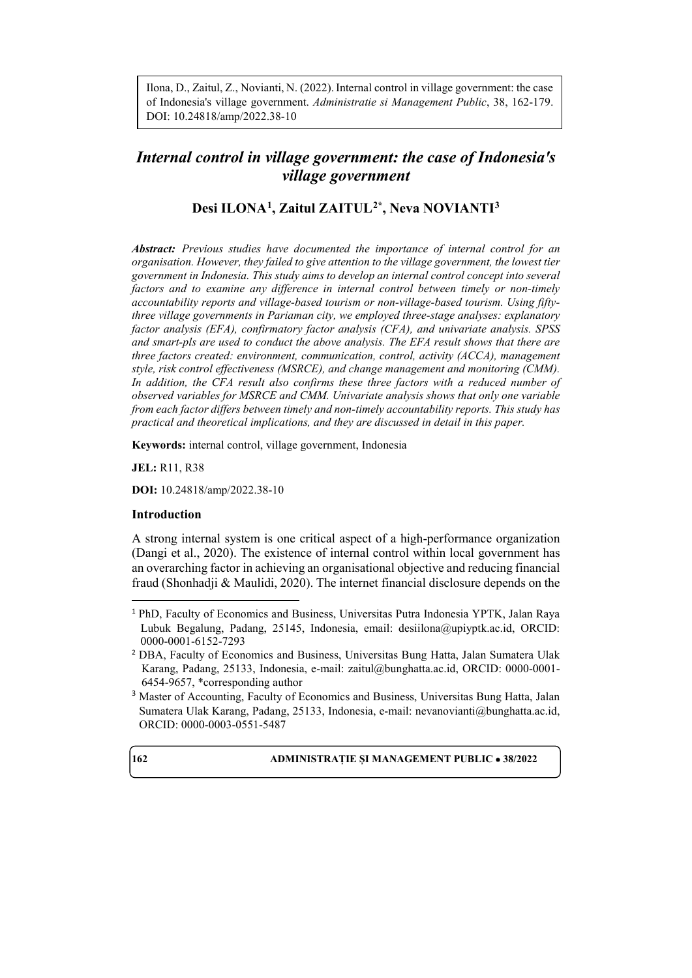Ilona, D., Zaitul, Z., Novianti, N. (2022).Internal control in village government: the case of Indonesia's village government. *Administratie si Management Public*, 38, 162-179. DOI: 10.24818/amp/2022.38-10

# *Internal control in village government: the case of Indonesia's village government*

# **Desi ILONA[1](#page-0-0), Zaitul ZAITUL[2](#page-0-1)\*, Neva NOVIANTI[3](#page-0-2)**

*Abstract: Previous studies have documented the importance of internal control for an organisation. However, they failed to give attention to the village government, the lowest tier government in Indonesia. This study aims to develop an internal control concept into several factors and to examine any difference in internal control between timely or non-timely accountability reports and village-based tourism or non-village-based tourism. Using fiftythree village governments in Pariaman city, we employed three-stage analyses: explanatory factor analysis (EFA), confirmatory factor analysis (CFA), and univariate analysis. SPSS and smart-pls are used to conduct the above analysis. The EFA result shows that there are three factors created: environment, communication, control, activity (ACCA), management style, risk control effectiveness (MSRCE), and change management and monitoring (CMM). In addition, the CFA result also confirms these three factors with a reduced number of observed variables for MSRCE and CMM. Univariate analysis shows that only one variable from each factor differs between timely and non-timely accountability reports. This study has practical and theoretical implications, and they are discussed in detail in this paper.*

**Keywords:** internal control, village government, Indonesia

**JEL:** R11, R38

**DOI:** 10.24818/amp/2022.38-10

### **Introduction**

A strong internal system is one critical aspect of a high-performance organization (Dangi et al., 2020). The existence of internal control within local government has an overarching factor in achieving an organisational objective and reducing financial fraud (Shonhadji & Maulidi, 2020). The internet financial disclosure depends on the

<span id="page-0-0"></span> <sup>1</sup> PhD, Faculty of Economics and Business, Universitas Putra Indonesia YPTK, Jalan Raya Lubuk Begalung, Padang, 25145, Indonesia, email: [desiilona@upiyptk.ac.id,](mailto:desiilona@upiyptk.ac.id) ORCID: 0000-0001-6152-7293

<span id="page-0-1"></span><sup>2</sup> DBA, Faculty of Economics and Business, Universitas Bung Hatta, Jalan Sumatera Ulak Karang, Padang, 25133, Indonesia, e-mail: [zaitul@bunghatta.ac.id,](mailto:zaitul@bunghatta.ac.id) ORCID: 0000-0001- 6454-9657, \*corresponding author

<span id="page-0-2"></span><sup>3</sup> Master of Accounting, Faculty of Economics and Business, Universitas Bung Hatta, Jalan Sumatera Ulak Karang, Padang, 25133, Indonesia, e-mail: [nevanovianti@bunghatta.ac.id,](mailto:nevanovianti@bunghatta.ac.id)  ORCID: 0000-0003-0551-5487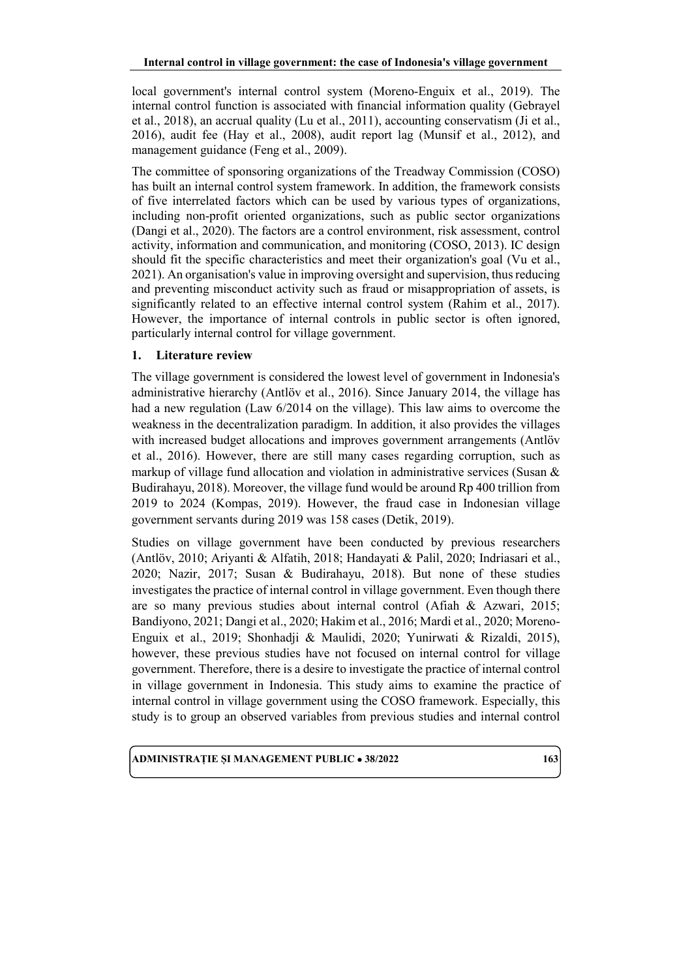local government's internal control system (Moreno-Enguix et al., 2019). The internal control function is associated with financial information quality (Gebrayel et al., 2018), an accrual quality (Lu et al., 2011), accounting conservatism (Ji et al., 2016), audit fee (Hay et al., 2008), audit report lag (Munsif et al., 2012), and management guidance (Feng et al., 2009).

The committee of sponsoring organizations of the Treadway Commission (COSO) has built an internal control system framework. In addition, the framework consists of five interrelated factors which can be used by various types of organizations, including non-profit oriented organizations, such as public sector organizations (Dangi et al., 2020). The factors are a control environment, risk assessment, control activity, information and communication, and monitoring (COSO, 2013). IC design should fit the specific characteristics and meet their organization's goal (Vu et al., 2021). An organisation's value in improving oversight and supervision, thus reducing and preventing misconduct activity such as fraud or misappropriation of assets, is significantly related to an effective internal control system (Rahim et al., 2017). However, the importance of internal controls in public sector is often ignored, particularly internal control for village government.

# **1. Literature review**

The village government is considered the lowest level of government in Indonesia's administrative hierarchy (Antlöv et al., 2016). Since January 2014, the village has had a new regulation (Law 6/2014 on the village). This law aims to overcome the weakness in the decentralization paradigm. In addition, it also provides the villages with increased budget allocations and improves government arrangements (Antlöv et al., 2016). However, there are still many cases regarding corruption, such as markup of village fund allocation and violation in administrative services (Susan & Budirahayu, 2018). Moreover, the village fund would be around Rp 400 trillion from 2019 to 2024 (Kompas, 2019). However, the fraud case in Indonesian village government servants during 2019 was 158 cases (Detik, 2019).

Studies on village government have been conducted by previous researchers (Antlöv, 2010; Ariyanti & Alfatih, 2018; Handayati & Palil, 2020; Indriasari et al., 2020; Nazir, 2017; Susan & Budirahayu, 2018). But none of these studies investigates the practice of internal control in village government. Even though there are so many previous studies about internal control (Afiah & Azwari, 2015; Bandiyono, 2021; Dangi et al., 2020; Hakim et al., 2016; Mardi et al., 2020; Moreno-Enguix et al., 2019; Shonhadji & Maulidi, 2020; Yunirwati & Rizaldi, 2015), however, these previous studies have not focused on internal control for village government. Therefore, there is a desire to investigate the practice of internal control in village government in Indonesia. This study aims to examine the practice of internal control in village government using the COSO framework. Especially, this study is to group an observed variables from previous studies and internal control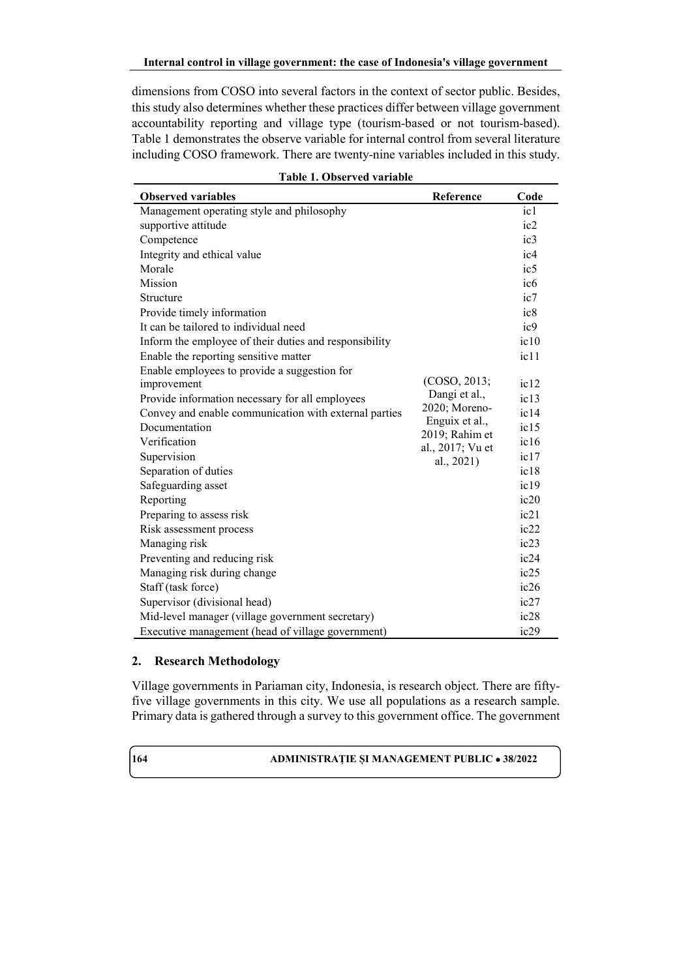dimensions from COSO into several factors in the context of sector public. Besides, this study also determines whether these practices differ between village government accountability reporting and village type (tourism-based or not tourism-based). Table 1 demonstrates the observe variable for internal control from several literature including COSO framework. There are twenty-nine variables included in this study.

| <b>Observed variables</b>                              | Reference                        | Code            |
|--------------------------------------------------------|----------------------------------|-----------------|
| Management operating style and philosophy              |                                  | ic1             |
| supportive attitude                                    |                                  | ic2             |
| Competence                                             |                                  | ic3             |
| Integrity and ethical value                            |                                  | i c4            |
| Morale                                                 |                                  | ic <sub>5</sub> |
| Mission                                                |                                  | ic <sub>6</sub> |
| Structure                                              |                                  | ic7             |
| Provide timely information                             |                                  | ic8             |
| It can be tailored to individual need                  |                                  | ic9             |
| Inform the employee of their duties and responsibility |                                  | ic10            |
| Enable the reporting sensitive matter                  |                                  | ic11            |
| Enable employees to provide a suggestion for           |                                  |                 |
| improvement                                            | (COSO, 2013;                     | ic12            |
| Provide information necessary for all employees        | Dangi et al.,                    | ic13            |
| Convey and enable communication with external parties  | 2020; Moreno-                    | ic14            |
| Documentation                                          | Enguix et al.,<br>2019; Rahim et | ic15            |
| Verification                                           | al., 2017; Vu et                 | ic16            |
| Supervision                                            | al., 2021)                       | ic17            |
| Separation of duties                                   |                                  | ic18            |
| Safeguarding asset                                     |                                  | ic19            |
| Reporting                                              |                                  | ic20            |
| Preparing to assess risk                               |                                  | ic21            |
| Risk assessment process                                |                                  | ic22            |
| Managing risk                                          |                                  | ic23            |
| Preventing and reducing risk                           |                                  | ic24            |
| Managing risk during change                            |                                  | ic25            |
| Staff (task force)                                     |                                  | ic26            |
| Supervisor (divisional head)                           |                                  | ic27            |
| Mid-level manager (village government secretary)       |                                  | ic28            |
| Executive management (head of village government)      |                                  | ic29            |

|  | Table 1. Observed variable |  |
|--|----------------------------|--|
|--|----------------------------|--|

# **2. Research Methodology**

Village governments in Pariaman city, Indonesia, is research object. There are fiftyfive village governments in this city. We use all populations as a research sample. Primary data is gathered through a survey to this government office. The government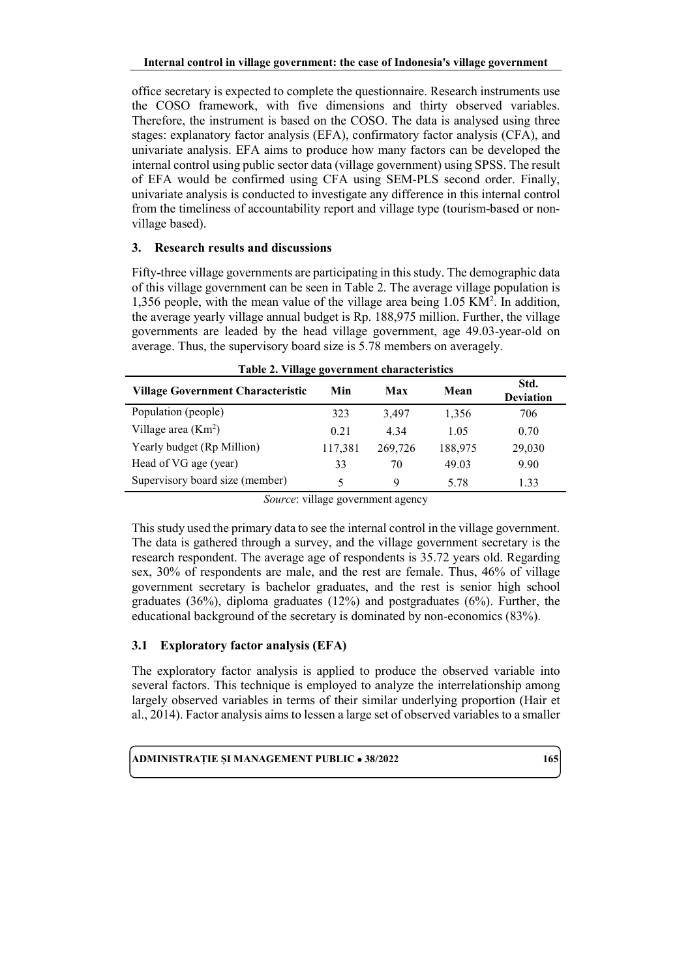office secretary is expected to complete the questionnaire. Research instruments use the COSO framework, with five dimensions and thirty observed variables. Therefore, the instrument is based on the COSO. The data is analysed using three stages: explanatory factor analysis (EFA), confirmatory factor analysis (CFA), and univariate analysis. EFA aims to produce how many factors can be developed the internal control using public sector data (village government) using SPSS. The result of EFA would be confirmed using CFA using SEM-PLS second order. Finally, univariate analysis is conducted to investigate any difference in this internal control from the timeliness of accountability report and village type (tourism-based or nonvillage based).

# **3. Research results and discussions**

Fifty-three village governments are participating in this study. The demographic data of this village government can be seen in Table 2. The average village population is 1,356 people, with the mean value of the village area being 1.05 KM2 . In addition, the average yearly village annual budget is Rp. 188,975 million. Further, the village governments are leaded by the head village government, age 49.03-year-old on average. Thus, the supervisory board size is 5.78 members on averagely.

| Table 2. Village government characteristics |         |         |         |                          |  |  |  |  |  |  |
|---------------------------------------------|---------|---------|---------|--------------------------|--|--|--|--|--|--|
| <b>Village Government Characteristic</b>    | Min     | Max     | Mean    | Std.<br><b>Deviation</b> |  |  |  |  |  |  |
| Population (people)                         | 323     | 3,497   | 1,356   | 706                      |  |  |  |  |  |  |
| Village area $(Km^2)$                       | 0.21    | 4.34    | 1.05    | 0.70                     |  |  |  |  |  |  |
| Yearly budget (Rp Million)                  | 117,381 | 269,726 | 188,975 | 29,030                   |  |  |  |  |  |  |
| Head of VG age (year)                       | 33      | 70      | 49.03   | 9.90                     |  |  |  |  |  |  |
| Supervisory board size (member)             | 5       | 9       | 5.78    | 1.33                     |  |  |  |  |  |  |

*Source*: village government agency

This study used the primary data to see the internal control in the village government. The data is gathered through a survey, and the village government secretary is the research respondent. The average age of respondents is 35.72 years old. Regarding sex, 30% of respondents are male, and the rest are female. Thus, 46% of village government secretary is bachelor graduates, and the rest is senior high school graduates (36%), diploma graduates (12%) and postgraduates (6%). Further, the educational background of the secretary is dominated by non-economics (83%).

# **3.1 Exploratory factor analysis (EFA)**

The exploratory factor analysis is applied to produce the observed variable into several factors. This technique is employed to analyze the interrelationship among largely observed variables in terms of their similar underlying proportion (Hair et al., 2014). Factor analysis aims to lessen a large set of observed variables to a smaller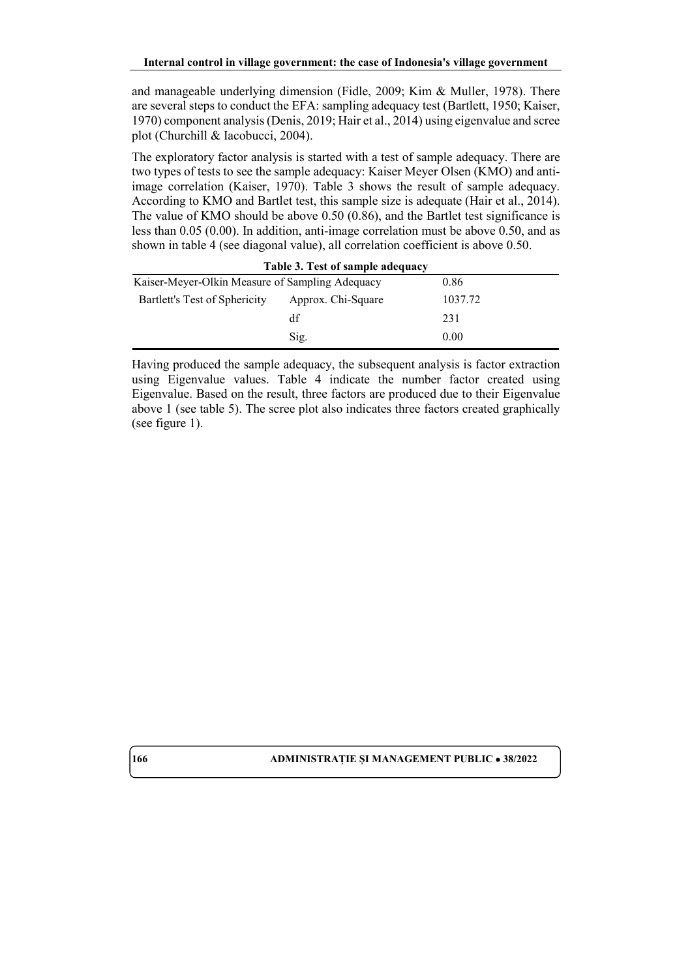and manageable underlying dimension (Fidle, 2009; Kim & Muller, 1978). There are several steps to conduct the EFA: sampling adequacy test (Bartlett, 1950; Kaiser, 1970) component analysis (Denis, 2019; Hair et al., 2014) using eigenvalue and scree plot (Churchill & Iacobucci, 2004).

The exploratory factor analysis is started with a test of sample adequacy. There are two types of tests to see the sample adequacy: Kaiser Meyer Olsen (KMO) and antiimage correlation (Kaiser, 1970). Table 3 shows the result of sample adequacy. According to KMO and Bartlet test, this sample size is adequate (Hair et al., 2014). The value of KMO should be above 0.50 (0.86), and the Bartlet test significance is less than 0.05 (0.00). In addition, anti-image correlation must be above 0.50, and as shown in table 4 (see diagonal value), all correlation coefficient is above 0.50.

| Table 3. Test of sample adequacy                |                    |         |  |  |  |  |  |  |
|-------------------------------------------------|--------------------|---------|--|--|--|--|--|--|
| Kaiser-Meyer-Olkin Measure of Sampling Adequacy | 0.86               |         |  |  |  |  |  |  |
| Bartlett's Test of Sphericity                   | Approx. Chi-Square | 1037.72 |  |  |  |  |  |  |
|                                                 | df                 | 231     |  |  |  |  |  |  |
|                                                 | Sig.               | 0.00    |  |  |  |  |  |  |

Having produced the sample adequacy, the subsequent analysis is factor extraction using Eigenvalue values. Table 4 indicate the number factor created using Eigenvalue. Based on the result, three factors are produced due to their Eigenvalue above 1 (see table 5). The scree plot also indicates three factors created graphically (see figure 1).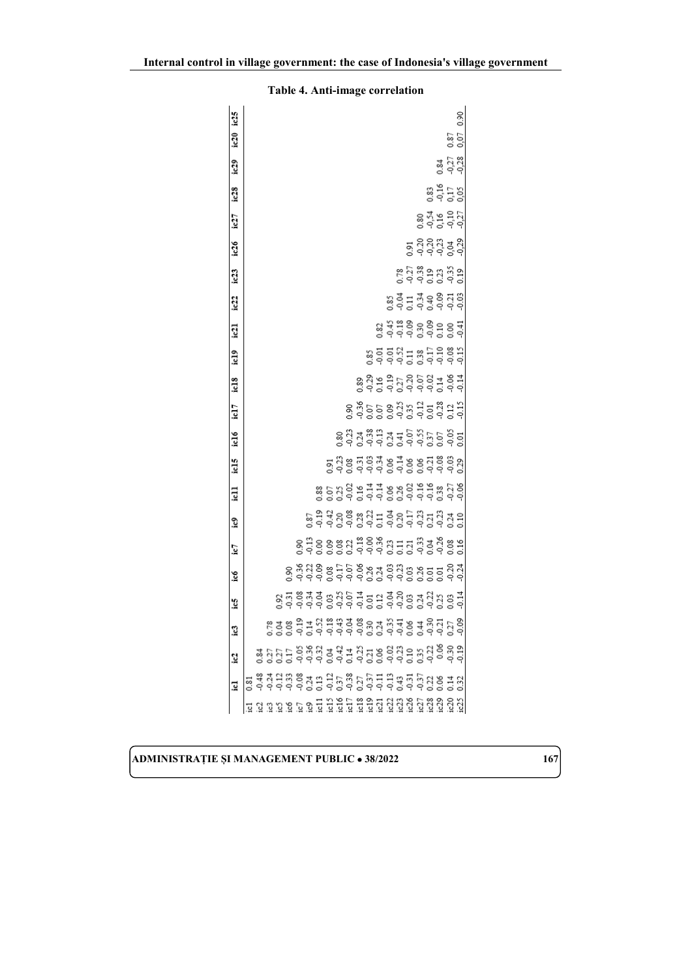| ic25             |                                          |  |                  |                                                                                                               |     |                |  |                                                                            |                                                   |  |  |  |                                                   |                      | 0.90 |  |
|------------------|------------------------------------------|--|------------------|---------------------------------------------------------------------------------------------------------------|-----|----------------|--|----------------------------------------------------------------------------|---------------------------------------------------|--|--|--|---------------------------------------------------|----------------------|------|--|
| ic20             |                                          |  |                  |                                                                                                               |     |                |  |                                                                            |                                                   |  |  |  |                                                   | 0.87<br>0.07         |      |  |
| ic29             |                                          |  |                  |                                                                                                               |     |                |  |                                                                            |                                                   |  |  |  |                                                   | 0.81<br>0.27<br>0.38 |      |  |
| $_{1c28}$        |                                          |  |                  |                                                                                                               |     |                |  |                                                                            |                                                   |  |  |  | ន្ធ ។<br>ភូមិ ភូមិ                                |                      |      |  |
| 127              |                                          |  |                  |                                                                                                               |     |                |  |                                                                            |                                                   |  |  |  | 0.34932<br>0.34932                                |                      |      |  |
| ic26             |                                          |  |                  |                                                                                                               |     |                |  |                                                                            |                                                   |  |  |  | ಶ್ವ ಶ್ವ ಶ್ವ ಶ್ವ<br>ಶ್ವ ಶ್ವ ಶ್ವ ಶ್ವ ಶ್ವ            |                      |      |  |
| ic23             |                                          |  |                  |                                                                                                               |     |                |  |                                                                            |                                                   |  |  |  | ខ្ពុំភ្លឺម៉ូងដូច្ន                                |                      |      |  |
| ic22             |                                          |  |                  |                                                                                                               |     |                |  |                                                                            |                                                   |  |  |  | s a 1 3 4 8 8 5 8<br>S 3 1 3 4 8 8 5 8            |                      |      |  |
| $\overline{121}$ |                                          |  |                  |                                                                                                               |     |                |  |                                                                            |                                                   |  |  |  | 23 33 33 33 34<br>23 33 33 33 34 35               |                      |      |  |
| ic19             |                                          |  |                  |                                                                                                               |     |                |  |                                                                            |                                                   |  |  |  | 8<br>8 8 8 8 7 7 8 8 9 8 9<br>8 9 9 8 7 8 9 9 8 9 |                      |      |  |
| ic18             |                                          |  |                  |                                                                                                               |     |                |  |                                                                            |                                                   |  |  |  | 8339373531353<br>83953735531                      |                      |      |  |
| icl7             |                                          |  |                  |                                                                                                               |     |                |  |                                                                            | 8 355 8 33 3 3 3 3 3 3<br>8 3 5 5 8 3 3 3 3 3 3 3 |  |  |  |                                                   |                      |      |  |
| ic16             |                                          |  |                  |                                                                                                               |     |                |  | 8 3 3 3 3 3 4 5 6 5 5 6 5 6 5<br>8 3 3 5 6 5 7 5 6 6 5 6 6 5               |                                                   |  |  |  |                                                   |                      |      |  |
| icl5             |                                          |  |                  |                                                                                                               |     |                |  | a 3 3 5 3 3 9 5 5 8 6 5 3 6<br>2 3 8 5 9 9 9 5 9 8 9 5 9                   |                                                   |  |  |  |                                                   | $\frac{0.03}{0.29}$  |      |  |
| E                |                                          |  |                  |                                                                                                               |     |                |  | 8<br>85339 11 12 8 8 8 9 9 9 8 5 9 8                                       |                                                   |  |  |  |                                                   |                      |      |  |
| e                |                                          |  |                  |                                                                                                               |     |                |  | s 3 3 3 3 3 3 4 5 5 6 5 6 5 6 5 6 5<br>S 3 5 6 6 6 6 6 5 6 6 6 6 7 6 7 6 7 |                                                   |  |  |  |                                                   |                      |      |  |
| Ic7              |                                          |  |                  | 0.90                                                                                                          |     | $\frac{13}{9}$ |  | <b>ggd = 00</b> 8 ggd = 008                                                |                                                   |  |  |  |                                                   | 0.16                 |      |  |
| icó              |                                          |  | 0.90             |                                                                                                               | 338 |                |  |                                                                            |                                                   |  |  |  | $\frac{5}{2}$                                     | 834<br>924           |      |  |
| Ĵ.               |                                          |  | $^{0.92}_{0.31}$ | $\frac{8}{2}$                                                                                                 |     | 3000           |  | g ä S 3 g 3 d 3 g 3 d 3 g 3<br>G 3 S 3 g 3 d 3 g 3 d 3 g 3                 |                                                   |  |  |  |                                                   |                      |      |  |
| I                |                                          |  |                  |                                                                                                               |     |                |  |                                                                            |                                                   |  |  |  |                                                   |                      |      |  |
| $\mathbf{c}_2$   |                                          |  |                  |                                                                                                               |     |                |  |                                                                            |                                                   |  |  |  |                                                   |                      |      |  |
| <u>id</u>        | 最等 참석 유흥 중국 남동 종 동 동 국 음 동 동 동 음 동 동 동 동 |  |                  |                                                                                                               |     |                |  |                                                                            |                                                   |  |  |  |                                                   |                      |      |  |
|                  |                                          |  |                  | 1919 1919 1919 1919 1919 1919 1919 1919 1919 1919 1919 1919 1919 1919 1919 1919 1919 1919 1919 1919 1919 1919 |     |                |  |                                                                            |                                                   |  |  |  |                                                   |                      |      |  |

**Internal control in village government: the case of Indonesia's village government**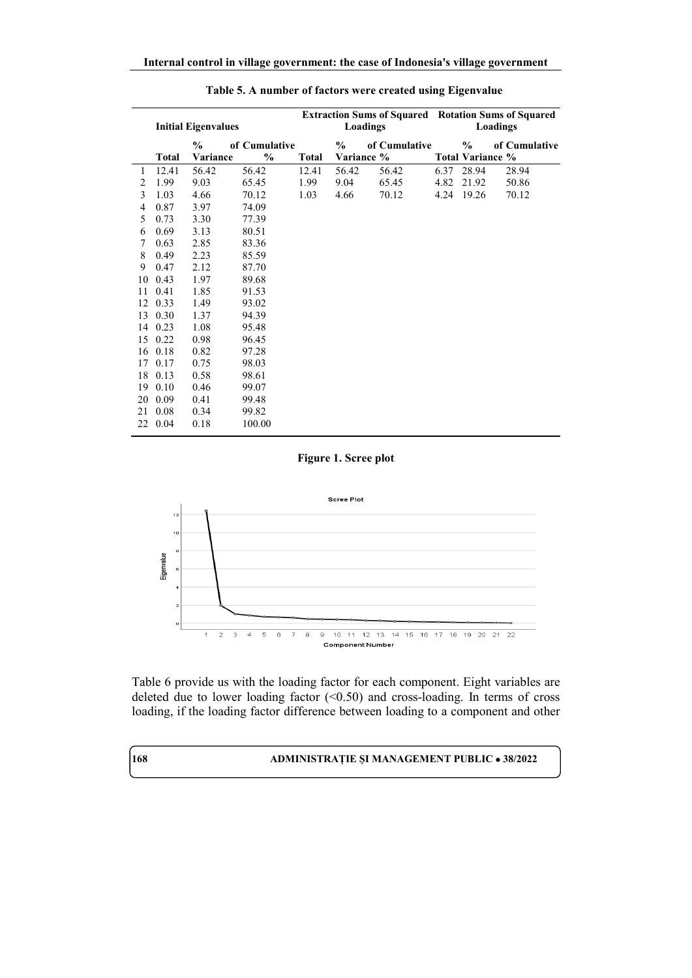|    |              | <b>Initial Eigenvalues</b> |               |              | Loadings   | <b>Extraction Sums of Squared Rotation Sums of Squared</b> |      | Loadings                |               |
|----|--------------|----------------------------|---------------|--------------|------------|------------------------------------------------------------|------|-------------------------|---------------|
|    |              | $\%$                       | of Cumulative |              | $\%$       | of Cumulative                                              |      | $\%$                    | of Cumulative |
|    | <b>Total</b> | Variance                   | $\frac{6}{9}$ | <b>Total</b> | Variance % |                                                            |      | <b>Total Variance %</b> |               |
| 1  | 12.41        | 56.42                      | 56.42         | 12.41        | 56.42      | 56.42                                                      | 6.37 | 28.94                   | 28.94         |
| 2  | 1.99         | 9.03                       | 65.45         | 1.99         | 9.04       | 65.45                                                      | 4.82 | 21.92                   | 50.86         |
| 3  | 1.03         | 4.66                       | 70.12         | 1.03         | 4.66       | 70.12                                                      |      | 4.24 19.26              | 70.12         |
| 4  | 0.87         | 3.97                       | 74.09         |              |            |                                                            |      |                         |               |
| 5  | 0.73         | 3.30                       | 77.39         |              |            |                                                            |      |                         |               |
| 6  | 0.69         | 3.13                       | 80.51         |              |            |                                                            |      |                         |               |
| 7  | 0.63         | 2.85                       | 83.36         |              |            |                                                            |      |                         |               |
| 8  | 0.49         | 2.23                       | 85.59         |              |            |                                                            |      |                         |               |
| 9  | 0.47         | 2.12                       | 87.70         |              |            |                                                            |      |                         |               |
| 10 | 0.43         | 1.97                       | 89.68         |              |            |                                                            |      |                         |               |
| 11 | 0.41         | 1.85                       | 91.53         |              |            |                                                            |      |                         |               |
| 12 | 0.33         | 1.49                       | 93.02         |              |            |                                                            |      |                         |               |
| 13 | 0.30         | 1.37                       | 94.39         |              |            |                                                            |      |                         |               |
| 14 | 0.23         | 1.08                       | 95.48         |              |            |                                                            |      |                         |               |
|    | 15 0.22      | 0.98                       | 96.45         |              |            |                                                            |      |                         |               |
| 16 | 0.18         | 0.82                       | 97.28         |              |            |                                                            |      |                         |               |
| 17 | 0.17         | 0.75                       | 98.03         |              |            |                                                            |      |                         |               |
| 18 | 0.13         | 0.58                       | 98.61         |              |            |                                                            |      |                         |               |
| 19 | 0.10         | 0.46                       | 99.07         |              |            |                                                            |      |                         |               |
| 20 | 0.09         | 0.41                       | 99.48         |              |            |                                                            |      |                         |               |
| 21 | 0.08         | 0.34                       | 99.82         |              |            |                                                            |      |                         |               |
| 22 | 0.04         | 0.18                       | 100.00        |              |            |                                                            |      |                         |               |

### **Table 5. A number of factors were created using Eigenvalue**

### **Figure 1. Scree plot**



Table 6 provide us with the loading factor for each component. Eight variables are deleted due to lower loading factor  $( $0.50$ )$  and cross-loading. In terms of cross loading, if the loading factor difference between loading to a component and other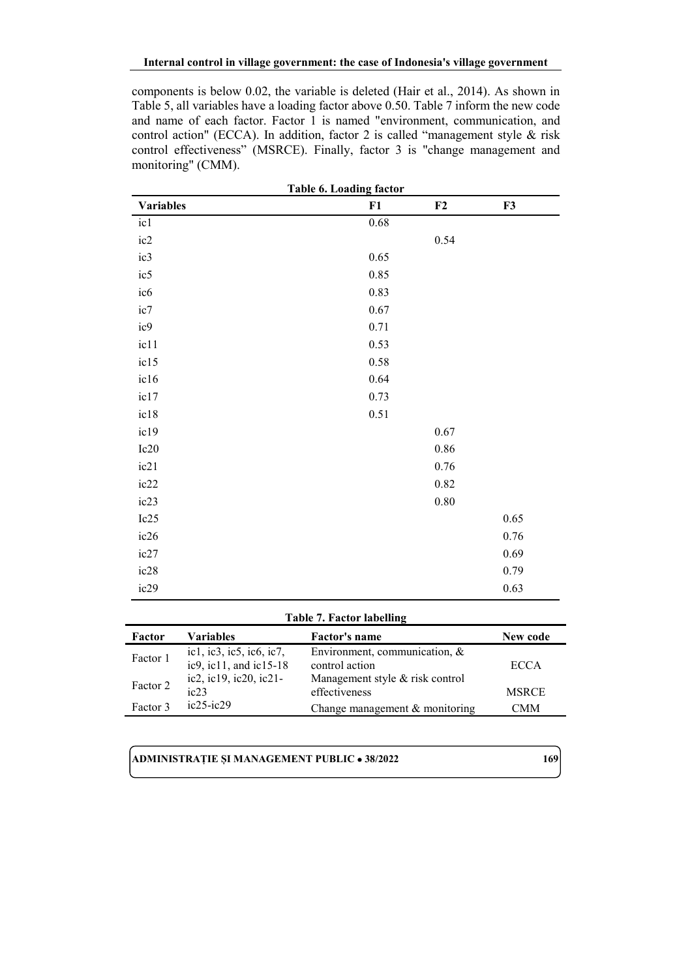components is below 0.02, the variable is deleted (Hair et al., 2014). As shown in Table 5, all variables have a loading factor above 0.50. Table 7 inform the new code and name of each factor. Factor 1 is named "environment, communication, and control action" (ECCA). In addition, factor 2 is called "management style & risk control effectiveness" (MSRCE). Finally, factor 3 is "change management and monitoring" (CMM).

| Table 6. Loading factor |          |          |            |  |  |  |  |  |  |
|-------------------------|----------|----------|------------|--|--|--|--|--|--|
| <b>Variables</b>        | F1       | F2       | ${\bf F3}$ |  |  |  |  |  |  |
| ic1                     | 0.68     |          |            |  |  |  |  |  |  |
| ic2                     |          | 0.54     |            |  |  |  |  |  |  |
| ic3                     | 0.65     |          |            |  |  |  |  |  |  |
| ic5                     | 0.85     |          |            |  |  |  |  |  |  |
| ic <sub>6</sub>         | 0.83     |          |            |  |  |  |  |  |  |
| ic7                     | $0.67\,$ |          |            |  |  |  |  |  |  |
| ic9                     | 0.71     |          |            |  |  |  |  |  |  |
| ic11                    | 0.53     |          |            |  |  |  |  |  |  |
| ic15                    | 0.58     |          |            |  |  |  |  |  |  |
| ic16                    | 0.64     |          |            |  |  |  |  |  |  |
| ic17                    | 0.73     |          |            |  |  |  |  |  |  |
| ic18                    | 0.51     |          |            |  |  |  |  |  |  |
| ic19                    |          | $0.67\,$ |            |  |  |  |  |  |  |
| Ic20                    |          | 0.86     |            |  |  |  |  |  |  |
| ic21                    |          | 0.76     |            |  |  |  |  |  |  |
| ic22                    |          | 0.82     |            |  |  |  |  |  |  |
| ic23                    |          | $0.80\,$ |            |  |  |  |  |  |  |
| Ic25                    |          |          | 0.65       |  |  |  |  |  |  |
| ic26                    |          |          | $0.76\,$   |  |  |  |  |  |  |
| ic27                    |          |          | 0.69       |  |  |  |  |  |  |
| ic28                    |          |          | 0.79       |  |  |  |  |  |  |
| ic29                    |          |          | 0.63       |  |  |  |  |  |  |

#### **Table 7. Factor labelling**

| Factor   | Variables                | <b>Factor's name</b>             | New code     |
|----------|--------------------------|----------------------------------|--------------|
| Factor 1 | ic1, ic3, ic5, ic6, ic7, | Environment, communication, &    |              |
|          | ic9, ic11, and ic15-18   | control action                   | <b>ECCA</b>  |
| Factor 2 | ic2, ic19, ic20, ic21-   | Management style & risk control  |              |
|          | ic23                     | effectiveness                    | <b>MSRCE</b> |
| Factor 3 | $ic25$ - $ic29$          | Change management $&$ monitoring | <b>CMM</b>   |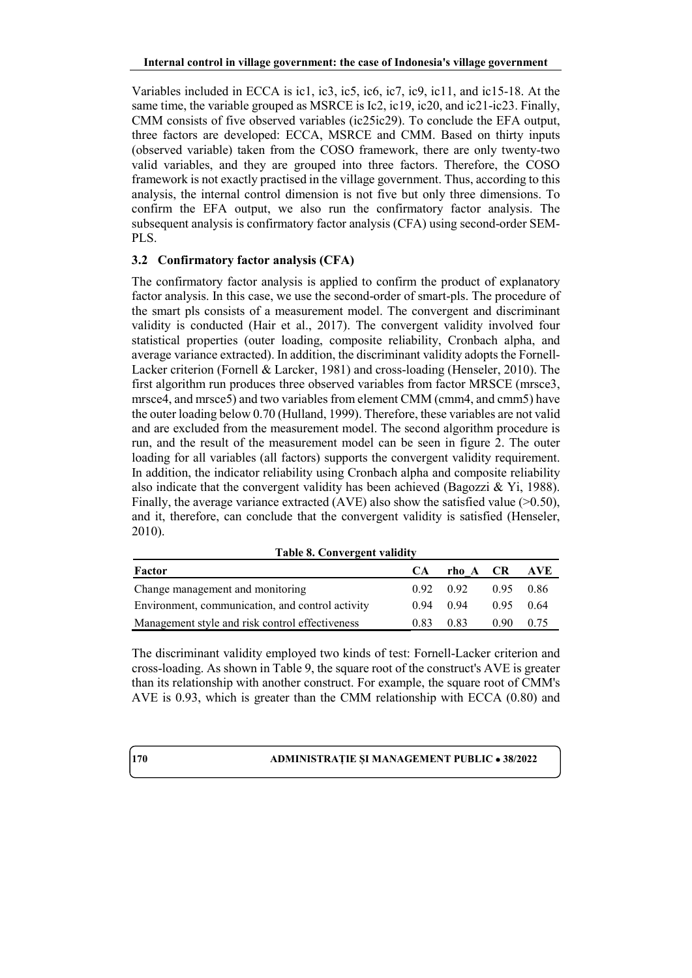Variables included in ECCA is ic1, ic3, ic5, ic6, ic7, ic9, ic11, and ic15-18. At the same time, the variable grouped as MSRCE is Ic2, ic19, ic20, and ic21-ic23. Finally, CMM consists of five observed variables (ic25ic29). To conclude the EFA output, three factors are developed: ECCA, MSRCE and CMM. Based on thirty inputs (observed variable) taken from the COSO framework, there are only twenty-two valid variables, and they are grouped into three factors. Therefore, the COSO framework is not exactly practised in the village government. Thus, according to this analysis, the internal control dimension is not five but only three dimensions. To confirm the EFA output, we also run the confirmatory factor analysis. The subsequent analysis is confirmatory factor analysis (CFA) using second-order SEM-PLS.

# **3.2 Confirmatory factor analysis (CFA)**

The confirmatory factor analysis is applied to confirm the product of explanatory factor analysis. In this case, we use the second-order of smart-pls. The procedure of the smart pls consists of a measurement model. The convergent and discriminant validity is conducted (Hair et al., 2017). The convergent validity involved four statistical properties (outer loading, composite reliability, Cronbach alpha, and average variance extracted). In addition, the discriminant validity adopts the Fornell-Lacker criterion (Fornell & Larcker, 1981) and cross-loading (Henseler, 2010). The first algorithm run produces three observed variables from factor MRSCE (mrsce3, mrsce4, and mrsce5) and two variables from element CMM (cmm4, and cmm5) have the outer loading below 0.70 (Hulland, 1999). Therefore, these variables are not valid and are excluded from the measurement model. The second algorithm procedure is run, and the result of the measurement model can be seen in figure 2. The outer loading for all variables (all factors) supports the convergent validity requirement. In addition, the indicator reliability using Cronbach alpha and composite reliability also indicate that the convergent validity has been achieved (Bagozzi & Yi, 1988). Finally, the average variance extracted (AVE) also show the satisfied value  $(>0.50)$ , and it, therefore, can conclude that the convergent validity is satisfied (Henseler, 2010).

**Table 8. Convergent validity**

| Factor                                           | <b>CA</b>   | rho A CR AVE      |                   |      |
|--------------------------------------------------|-------------|-------------------|-------------------|------|
| Change management and monitoring                 |             | $0.92 \quad 0.92$ | 0.95 0.86         |      |
| Environment, communication, and control activity | $0.94$ 0.94 |                   | $0.95 \quad 0.64$ |      |
| Management style and risk control effectiveness  | 0.83        | 0.83              | 0.90 <sub>1</sub> | 0.75 |

The discriminant validity employed two kinds of test: Fornell-Lacker criterion and cross-loading. As shown in Table 9, the square root of the construct's AVE is greater than its relationship with another construct. For example, the square root of CMM's AVE is 0.93, which is greater than the CMM relationship with ECCA (0.80) and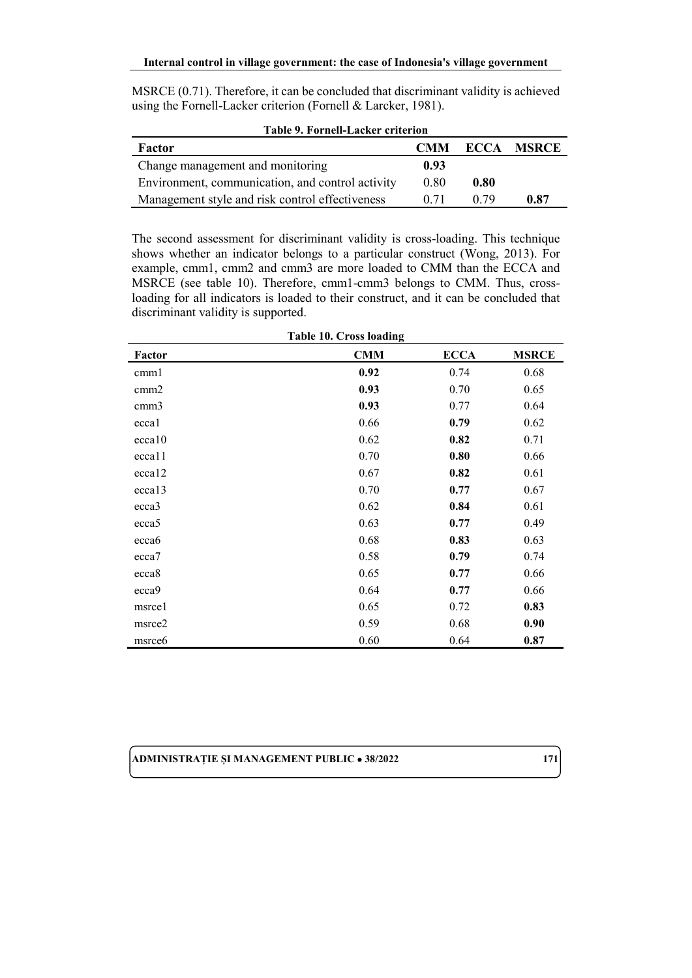| MSRCE (0.71). Therefore, it can be concluded that discriminant validity is achieved |  |
|-------------------------------------------------------------------------------------|--|
| using the Fornell-Lacker criterion (Fornell & Larcker, 1981).                       |  |

| Table 9. Fornell-Lacker criterion                |            |      |                   |  |  |  |  |  |
|--------------------------------------------------|------------|------|-------------------|--|--|--|--|--|
| Factor                                           | <b>CMM</b> |      | <b>ECCA MSRCE</b> |  |  |  |  |  |
| Change management and monitoring                 | 0.93       |      |                   |  |  |  |  |  |
| Environment, communication, and control activity | 0.80       | 0.80 |                   |  |  |  |  |  |
| Management style and risk control effectiveness  | 0.71       | በ 79 | 0.87              |  |  |  |  |  |

The second assessment for discriminant validity is cross-loading. This technique shows whether an indicator belongs to a particular construct (Wong, 2013). For example, cmm1, cmm2 and cmm3 are more loaded to CMM than the ECCA and MSRCE (see table 10). Therefore, cmm1-cmm3 belongs to CMM. Thus, crossloading for all indicators is loaded to their construct, and it can be concluded that discriminant validity is supported.

| <b>Table 10. Cross loading</b> |            |             |              |  |  |  |  |  |  |
|--------------------------------|------------|-------------|--------------|--|--|--|--|--|--|
| Factor                         | <b>CMM</b> | <b>ECCA</b> | <b>MSRCE</b> |  |  |  |  |  |  |
| cmml                           | 0.92       | 0.74        | 0.68         |  |  |  |  |  |  |
| cmm2                           | 0.93       | 0.70        | 0.65         |  |  |  |  |  |  |
| cmm3                           | 0.93       | 0.77        | 0.64         |  |  |  |  |  |  |
| eccal                          | 0.66       | 0.79        | 0.62         |  |  |  |  |  |  |
| ecca10                         | 0.62       | 0.82        | 0.71         |  |  |  |  |  |  |
| eccal <sub>1</sub>             | 0.70       | 0.80        | 0.66         |  |  |  |  |  |  |
| ecca12                         | 0.67       | 0.82        | 0.61         |  |  |  |  |  |  |
| ecca13                         | 0.70       | 0.77        | 0.67         |  |  |  |  |  |  |
| ecca3                          | 0.62       | 0.84        | 0.61         |  |  |  |  |  |  |
| ecca5                          | 0.63       | 0.77        | 0.49         |  |  |  |  |  |  |
| ecca6                          | 0.68       | 0.83        | 0.63         |  |  |  |  |  |  |
| ecca7                          | 0.58       | 0.79        | 0.74         |  |  |  |  |  |  |
| ecca8                          | 0.65       | 0.77        | 0.66         |  |  |  |  |  |  |
| ecca9                          | 0.64       | 0.77        | 0.66         |  |  |  |  |  |  |
| msrce1                         | 0.65       | 0.72        | 0.83         |  |  |  |  |  |  |
| msrce2                         | 0.59       | 0.68        | 0.90         |  |  |  |  |  |  |
| msrce6                         | 0.60       | 0.64        | 0.87         |  |  |  |  |  |  |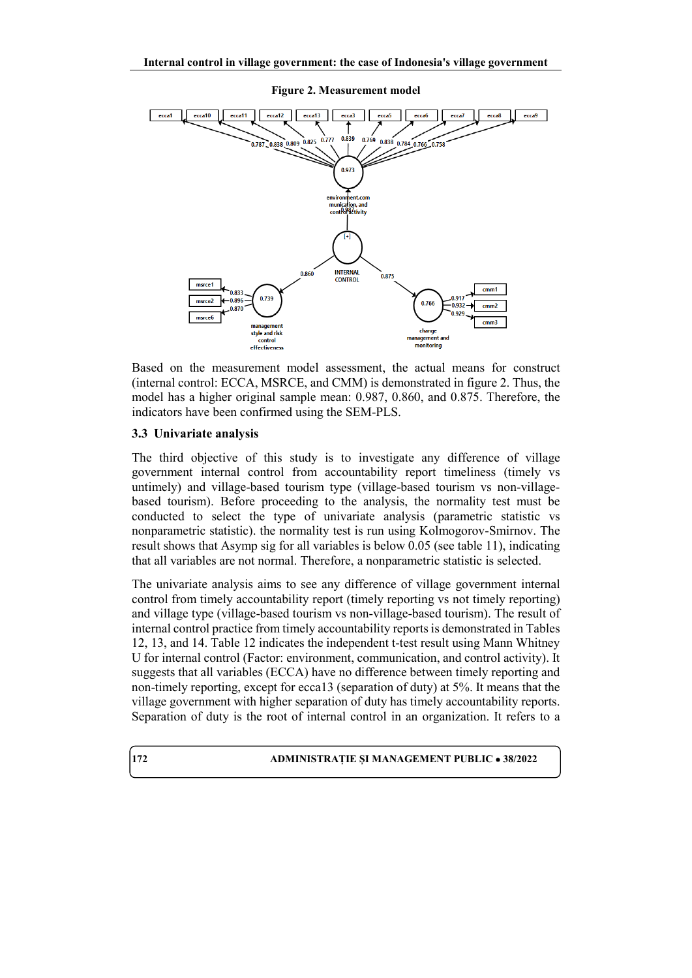

Based on the measurement model assessment, the actual means for construct (internal control: ECCA, MSRCE, and CMM) is demonstrated in figure 2. Thus, the model has a higher original sample mean: 0.987, 0.860, and 0.875. Therefore, the indicators have been confirmed using the SEM-PLS.

### **3.3 Univariate analysis**

The third objective of this study is to investigate any difference of village government internal control from accountability report timeliness (timely vs untimely) and village-based tourism type (village-based tourism vs non-villagebased tourism). Before proceeding to the analysis, the normality test must be conducted to select the type of univariate analysis (parametric statistic vs nonparametric statistic). the normality test is run using Kolmogorov-Smirnov. The result shows that Asymp sig for all variables is below 0.05 (see table 11), indicating that all variables are not normal. Therefore, a nonparametric statistic is selected.

The univariate analysis aims to see any difference of village government internal control from timely accountability report (timely reporting vs not timely reporting) and village type (village-based tourism vs non-village-based tourism). The result of internal control practice from timely accountability reports is demonstrated in Tables 12, 13, and 14. Table 12 indicates the independent t-test result using Mann Whitney U for internal control (Factor: environment, communication, and control activity). It suggests that all variables (ECCA) have no difference between timely reporting and non-timely reporting, except for ecca13 (separation of duty) at 5%. It means that the village government with higher separation of duty has timely accountability reports. Separation of duty is the root of internal control in an organization. It refers to a

### **172 ADMINISTRAȚIE ȘI MANAGEMENT PUBLIC** • **38/2022**

**Figure 2. Measurement model**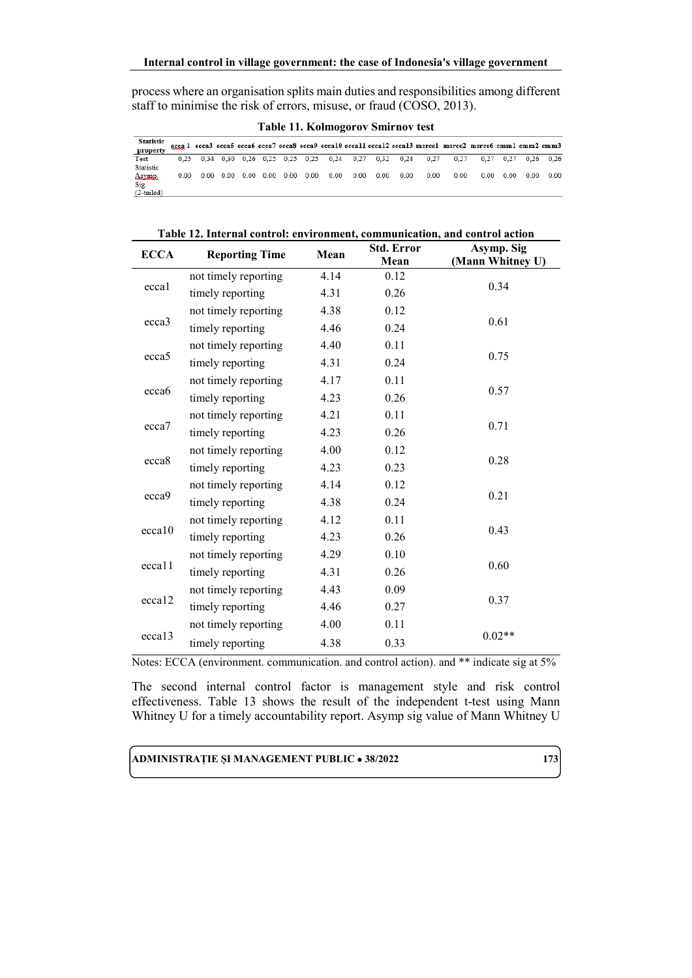process where an organisation splits main duties and responsibilities among different staff to minimise the risk of errors, misuse, or fraud (COSO, 2013).

**Table 11. Kolmogorov Smirnov test**

| <b>Statistic</b> |      |                   |                   |          |      |      |                                                        |      |      |      | eccal ecca3 ecca5 ecca6 ecca7 ecca8 ecca9 ecca10 ecca11 ecca12 ecca13 msrce1 msrce2 msrce6 cmm1 cmm2 cmm3 |      |      |      |                             |
|------------------|------|-------------------|-------------------|----------|------|------|--------------------------------------------------------|------|------|------|-----------------------------------------------------------------------------------------------------------|------|------|------|-----------------------------|
| propert          |      |                   |                   |          |      |      |                                                        |      |      |      |                                                                                                           |      |      |      |                             |
| Test             |      |                   |                   |          |      |      | 0,25 0,34 0,30 0,26 0,25 0,25 0,25 0,24 0,27 0,32 0,24 |      |      | 0.27 | 0.27                                                                                                      |      |      |      | $0.27$ $0.27$ $0.26$ $0.26$ |
| Statistic        |      |                   |                   |          |      |      |                                                        |      |      |      |                                                                                                           |      |      |      |                             |
| Asymp.           | 0.00 | $0.00 \quad 0.00$ | $0.00 \quad 0.00$ | $0.00 -$ | 0.00 | 0.00 | 0.00                                                   | 0.00 | 0.00 | 0.00 | 0.00                                                                                                      | 0.00 | 0.00 | 0.00 | 0.00                        |
| Sig.             |      |                   |                   |          |      |      |                                                        |      |      |      |                                                                                                           |      |      |      |                             |
| $(2-tailed)$     |      |                   |                   |          |      |      |                                                        |      |      |      |                                                                                                           |      |      |      |                             |

| Table 12. Internal control: environment, communication, and control action |                       |      |                   |                  |  |  |
|----------------------------------------------------------------------------|-----------------------|------|-------------------|------------------|--|--|
| <b>ECCA</b>                                                                | <b>Reporting Time</b> | Mean | <b>Std. Error</b> | Asymp. Sig       |  |  |
|                                                                            |                       |      | Mean              | (Mann Whitney U) |  |  |
| ecca1                                                                      | not timely reporting  | 4.14 | 0.12              |                  |  |  |
|                                                                            | timely reporting      | 4.31 | 0.26              | 0.34             |  |  |
| ecca3                                                                      | not timely reporting  | 4.38 | 0.12              |                  |  |  |
|                                                                            | timely reporting      | 4.46 | 0.24              | 0.61             |  |  |
|                                                                            | not timely reporting  | 4.40 | 0.11              |                  |  |  |
| ecca <sub>5</sub>                                                          | timely reporting      | 4.31 | 0.24              | 0.75             |  |  |
|                                                                            | not timely reporting  | 4.17 | 0.11              |                  |  |  |
| ecca <sub>6</sub>                                                          | timely reporting      | 4.23 | 0.26              | 0.57             |  |  |
|                                                                            | not timely reporting  | 4.21 | 0.11              |                  |  |  |
| ecca7                                                                      | timely reporting      | 4.23 | 0.26              | 0.71             |  |  |
|                                                                            | not timely reporting  | 4.00 | 0.12              |                  |  |  |
| ecca8                                                                      | timely reporting      | 4.23 | 0.23              | 0.28             |  |  |
|                                                                            | not timely reporting  | 4.14 | 0.12              |                  |  |  |
| ecca9                                                                      | timely reporting      | 4.38 | 0.24              | 0.21             |  |  |
|                                                                            | not timely reporting  | 4.12 | 0.11              |                  |  |  |
| ecca10                                                                     | timely reporting      | 4.23 | 0.26              | 0.43             |  |  |
|                                                                            | not timely reporting  | 4.29 | 0.10              |                  |  |  |
| eccal1                                                                     | timely reporting      | 4.31 | 0.26              | 0.60             |  |  |
|                                                                            | not timely reporting  | 4.43 | 0.09              |                  |  |  |
| ecca12                                                                     | timely reporting      | 4.46 | 0.27              | 0.37             |  |  |
|                                                                            | not timely reporting  | 4.00 | 0.11              |                  |  |  |
| ecca13                                                                     | timely reporting      | 4.38 | 0.33              | $0.02**$         |  |  |

Notes: ECCA (environment. communication. and control action). and \*\* indicate sig at 5%

The second internal control factor is management style and risk control effectiveness. Table 13 shows the result of the independent t-test using Mann Whitney U for a timely accountability report. Asymp sig value of Mann Whitney U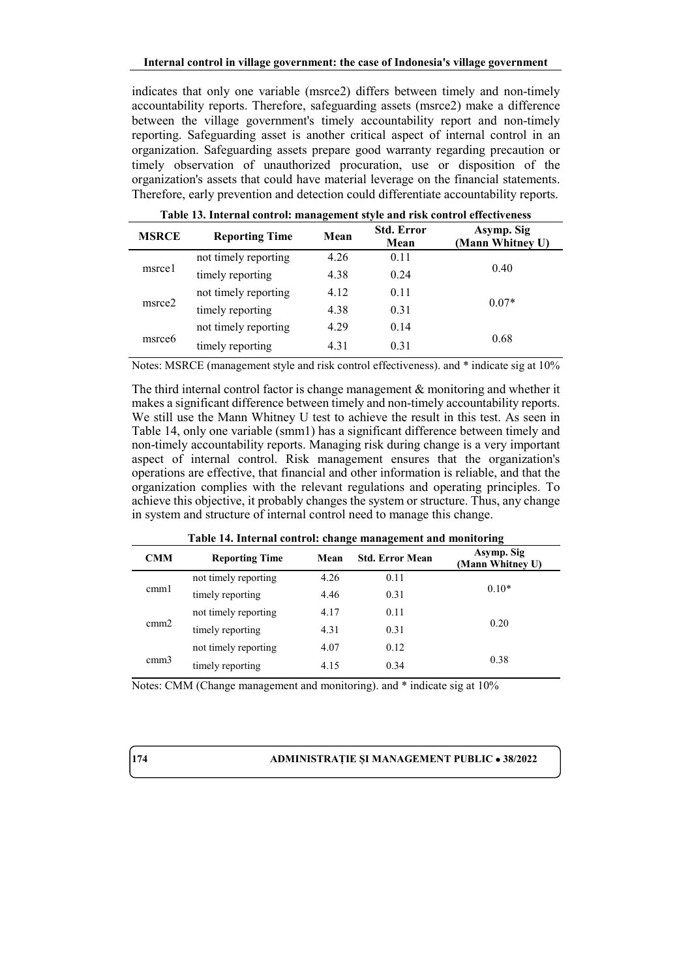indicates that only one variable (msrce2) differs between timely and non-timely accountability reports. Therefore, safeguarding assets (msrce2) make a difference between the village government's timely accountability report and non-timely reporting. Safeguarding asset is another critical aspect of internal control in an organization. Safeguarding assets prepare good warranty regarding precaution or timely observation of unauthorized procuration, use or disposition of the organization's assets that could have material leverage on the financial statements. Therefore, early prevention and detection could differentiate accountability reports.

| Tuble Tel Hitchini controll management style and fish control encert eness |                       |      |                           |                                |  |  |
|----------------------------------------------------------------------------|-----------------------|------|---------------------------|--------------------------------|--|--|
| <b>MSRCE</b>                                                               | <b>Reporting Time</b> | Mean | <b>Std. Error</b><br>Mean | Asymp. Sig<br>(Mann Whitney U) |  |  |
| msrcel                                                                     | not timely reporting  | 4.26 | 0.11                      |                                |  |  |
|                                                                            | timely reporting      | 4.38 | 0.24                      | 0.40                           |  |  |
| msrce2                                                                     | not timely reporting  | 4.12 | 0.11                      |                                |  |  |
|                                                                            | timely reporting      | 4.38 | 0.31                      | $0.07*$                        |  |  |
| msrce <sub>6</sub>                                                         | not timely reporting  | 4.29 | 0.14                      |                                |  |  |
|                                                                            | timely reporting      | 4.31 | 0.31                      | 0.68                           |  |  |

**Table 13. Internal control: management style and risk control effectiveness**

Notes: MSRCE (management style and risk control effectiveness). and \* indicate sig at 10%

The third internal control factor is change management  $\&$  monitoring and whether it makes a significant difference between timely and non-timely accountability reports. We still use the Mann Whitney U test to achieve the result in this test. As seen in Table 14, only one variable (smm1) has a significant difference between timely and non-timely accountability reports. Managing risk during change is a very important aspect of internal control. Risk management ensures that the organization's operations are effective, that financial and other information is reliable, and that the organization complies with the relevant regulations and operating principles. To achieve this objective, it probably changes the system or structure. Thus, any change in system and structure of internal control need to manage this change.

| ----------------- |                       |      |                        |                                |  |
|-------------------|-----------------------|------|------------------------|--------------------------------|--|
| <b>CMM</b>        | <b>Reporting Time</b> | Mean | <b>Std. Error Mean</b> | Asymp. Sig<br>(Mann Whitney U) |  |
| cmm1              | not timely reporting  | 4.26 | 0.11                   |                                |  |
|                   | timely reporting      | 4.46 | 0.31                   | $0.10*$                        |  |
| cmm2              | not timely reporting  | 4.17 | 0.11                   |                                |  |
|                   | timely reporting      | 4.31 | 0.31                   | 0.20                           |  |
| cmm3              | not timely reporting  | 4.07 | 0.12                   |                                |  |
|                   | timely reporting      | 4.15 | 0.34                   | 0.38                           |  |

**Table 14. Internal control: change management and monitoring**

Notes: CMM (Change management and monitoring). and \* indicate sig at 10%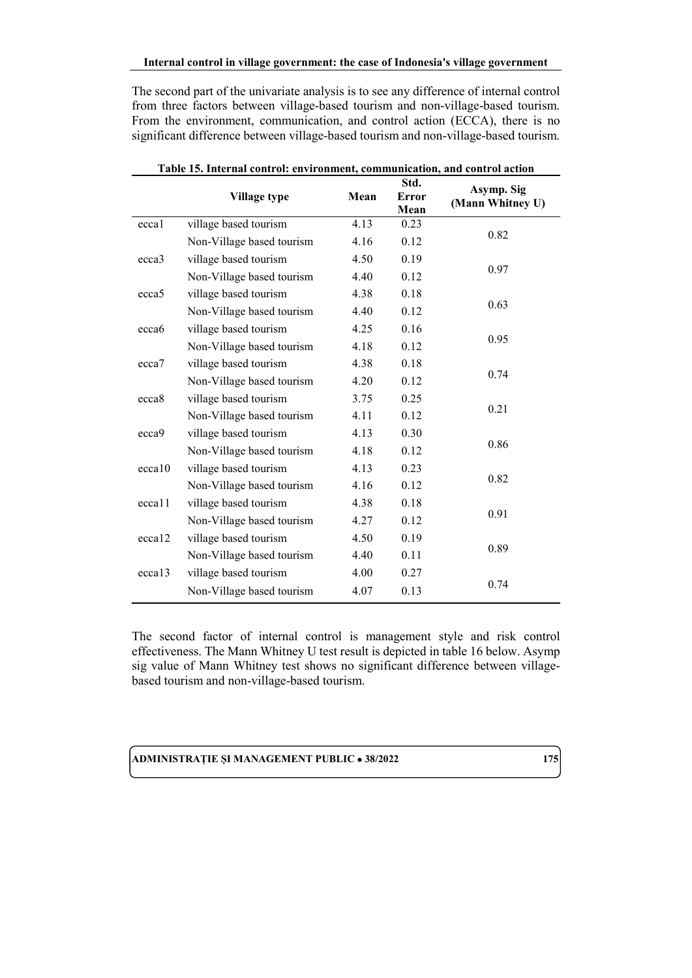The second part of the univariate analysis is to see any difference of internal control from three factors between village-based tourism and non-village-based tourism. From the environment, communication, and control action (ECCA), there is no significant difference between village-based tourism and non-village-based tourism.

|                    | Village type              | Mean | Std.<br><b>Error</b><br>Mean | Asymp. Sig<br>(Mann Whitney U) |
|--------------------|---------------------------|------|------------------------------|--------------------------------|
| eccal              | village based tourism     | 4.13 | 0.23                         |                                |
|                    | Non-Village based tourism | 4.16 | 0.12                         | 0.82                           |
| ecca3              | village based tourism     | 4.50 | 0.19                         |                                |
|                    | Non-Village based tourism | 4.40 | 0.12                         | 0.97                           |
| ecca <sub>5</sub>  | village based tourism     | 4.38 | 0.18                         |                                |
|                    | Non-Village based tourism | 4.40 | 0.12                         | 0.63                           |
| ecca <sub>6</sub>  | village based tourism     | 4.25 | 0.16                         |                                |
|                    | Non-Village based tourism | 4.18 | 0.12                         | 0.95                           |
| ecca7              | village based tourism     | 4.38 | 0.18                         |                                |
|                    | Non-Village based tourism | 4.20 | 0.12                         | 0.74                           |
| ecca <sub>8</sub>  | village based tourism     | 3.75 | 0.25                         |                                |
|                    | Non-Village based tourism | 4.11 | 0.12                         | 0.21                           |
| ecca9              | village based tourism     | 4.13 | 0.30                         |                                |
|                    | Non-Village based tourism | 4.18 | 0.12                         | 0.86                           |
| ecca10             | village based tourism     | 4.13 | 0.23                         |                                |
|                    | Non-Village based tourism | 4.16 | 0.12                         | 0.82                           |
| ecca11             | village based tourism     | 4.38 | 0.18                         |                                |
|                    | Non-Village based tourism | 4.27 | 0.12                         | 0.91                           |
| ecca12             | village based tourism     | 4.50 | 0.19                         |                                |
|                    | Non-Village based tourism | 4.40 | 0.11                         | 0.89                           |
| eccal <sub>3</sub> | village based tourism     | 4.00 | 0.27                         |                                |
|                    | Non-Village based tourism | 4.07 | 0.13                         | 0.74                           |

**Table 15. Internal control: environment, communication, and control action**

The second factor of internal control is management style and risk control effectiveness. The Mann Whitney U test result is depicted in table 16 below. Asymp sig value of Mann Whitney test shows no significant difference between villagebased tourism and non-village-based tourism.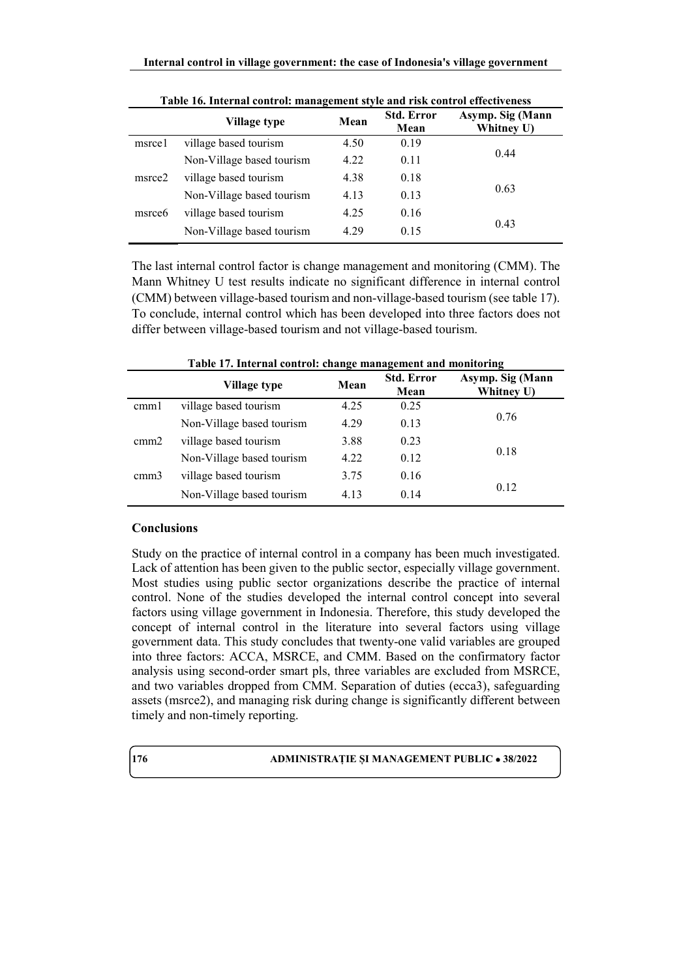|                    | Village type              | Mean | <b>Std. Error</b><br>Mean | Asymp. Sig (Mann<br>Whitney U) |
|--------------------|---------------------------|------|---------------------------|--------------------------------|
| msrcel             | village based tourism     | 4.50 | 0.19                      |                                |
|                    | Non-Village based tourism | 4.22 | 0.11                      | 0.44                           |
| msrce2             | village based tourism     | 4.38 | 0.18                      |                                |
|                    | Non-Village based tourism | 4.13 | 0.13                      | 0.63                           |
| msrce <sub>6</sub> | village based tourism     | 4.25 | 0.16                      |                                |
|                    | Non-Village based tourism | 4.29 | 0.15                      | 0.43                           |

**Table 16. Internal control: management style and risk control effectiveness**

The last internal control factor is change management and monitoring (CMM). The Mann Whitney U test results indicate no significant difference in internal control (CMM) between village-based tourism and non-village-based tourism (see table 17). To conclude, internal control which has been developed into three factors does not differ between village-based tourism and not village-based tourism.

| Table 17. Internal control: change management and monitoring |                           |      |                           |                                |  |  |
|--------------------------------------------------------------|---------------------------|------|---------------------------|--------------------------------|--|--|
|                                                              | Village type              | Mean | <b>Std. Error</b><br>Mean | Asymp. Sig (Mann<br>Whitney U) |  |  |
| cmml                                                         | village based tourism     | 4.25 | 0.25                      |                                |  |  |
|                                                              | Non-Village based tourism | 4.29 | 0.13                      | 0.76                           |  |  |
| cmm2                                                         | village based tourism     | 3.88 | 0.23                      |                                |  |  |
|                                                              | Non-Village based tourism | 4.22 | 0.12                      | 0.18                           |  |  |
| cmm3                                                         | village based tourism     | 3.75 | 0.16                      |                                |  |  |
|                                                              | Non-Village based tourism | 4.13 | 0.14                      | 0.12                           |  |  |

### **Table 17. Internal control: change management and monitoring**

### **Conclusions**

Study on the practice of internal control in a company has been much investigated. Lack of attention has been given to the public sector, especially village government. Most studies using public sector organizations describe the practice of internal control. None of the studies developed the internal control concept into several factors using village government in Indonesia. Therefore, this study developed the concept of internal control in the literature into several factors using village government data. This study concludes that twenty-one valid variables are grouped into three factors: ACCA, MSRCE, and CMM. Based on the confirmatory factor analysis using second-order smart pls, three variables are excluded from MSRCE, and two variables dropped from CMM. Separation of duties (ecca3), safeguarding assets (msrce2), and managing risk during change is significantly different between timely and non-timely reporting.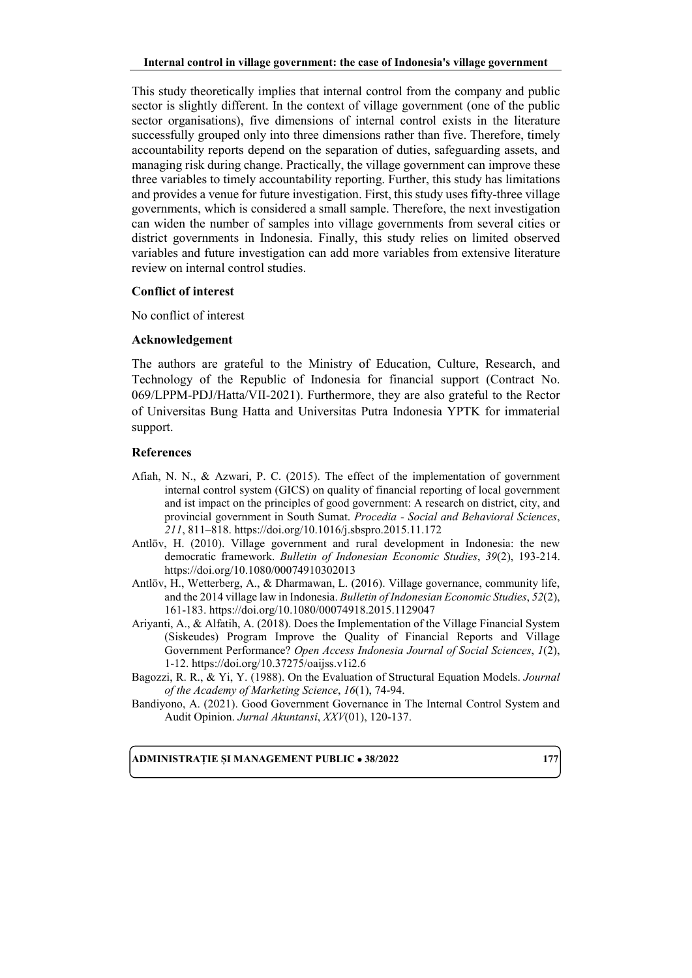This study theoretically implies that internal control from the company and public sector is slightly different. In the context of village government (one of the public sector organisations), five dimensions of internal control exists in the literature successfully grouped only into three dimensions rather than five. Therefore, timely accountability reports depend on the separation of duties, safeguarding assets, and managing risk during change. Practically, the village government can improve these three variables to timely accountability reporting. Further, this study has limitations and provides a venue for future investigation. First, this study uses fifty-three village governments, which is considered a small sample. Therefore, the next investigation can widen the number of samples into village governments from several cities or district governments in Indonesia. Finally, this study relies on limited observed variables and future investigation can add more variables from extensive literature review on internal control studies.

### **Conflict of interest**

No conflict of interest

### **Acknowledgement**

The authors are grateful to the Ministry of Education, Culture, Research, and Technology of the Republic of Indonesia for financial support (Contract No. 069/LPPM-PDJ/Hatta/VII-2021). Furthermore, they are also grateful to the Rector of Universitas Bung Hatta and Universitas Putra Indonesia YPTK for immaterial support.

### **References**

- Afiah, N. N., & Azwari, P. C. (2015). The effect of the implementation of government internal control system (GICS) on quality of financial reporting of local government and ist impact on the principles of good government: A research on district, city, and provincial government in South Sumat. *Procedia - Social and Behavioral Sciences*, *211*, 811–818. https://doi.org/10.1016/j.sbspro.2015.11.172
- Antlöv, H. (2010). Village government and rural development in Indonesia: the new democratic framework. *Bulletin of Indonesian Economic Studies*, *39*(2), 193-214. https://doi.org/10.1080/00074910302013
- Antlöv, H., Wetterberg, A., & Dharmawan, L. (2016). Village governance, community life, and the 2014 village law in Indonesia. *Bulletin of Indonesian Economic Studies*, *52*(2), 161-183. https://doi.org/10.1080/00074918.2015.1129047
- Ariyanti, A., & Alfatih, A. (2018). Does the Implementation of the Village Financial System (Siskeudes) Program Improve the Quality of Financial Reports and Village Government Performance? *Open Access Indonesia Journal of Social Sciences*, *1*(2), 1-12. https://doi.org/10.37275/oaijss.v1i2.6
- Bagozzi, R. R., & Yi, Y. (1988). On the Evaluation of Structural Equation Models. *Journal of the Academy of Marketing Science*, *16*(1), 74-94.
- Bandiyono, A. (2021). Good Government Governance in The Internal Control System and Audit Opinion. *Jurnal Akuntansi*, *XXV*(01), 120-137.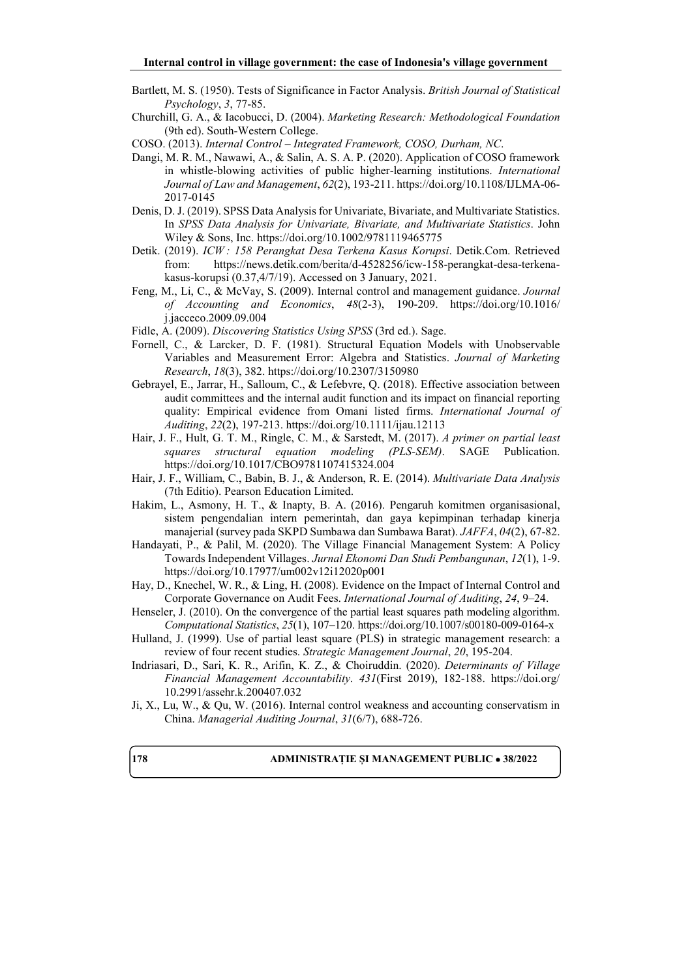- Bartlett, M. S. (1950). Tests of Significance in Factor Analysis. *British Journal of Statistical Psychology*, *3*, 77-85.
- Churchill, G. A., & Iacobucci, D. (2004). *Marketing Research: Methodological Foundation* (9th ed). South-Western College.
- COSO. (2013). *Internal Control – Integrated Framework, COSO, Durham, NC*.
- Dangi, M. R. M., Nawawi, A., & Salin, A. S. A. P. (2020). Application of COSO framework in whistle-blowing activities of public higher-learning institutions. *International Journal of Law and Management*, *62*(2), 193-211. https://doi.org/10.1108/IJLMA-06- 2017-0145
- Denis, D. J. (2019). SPSS Data Analysis for Univariate, Bivariate, and Multivariate Statistics. In *SPSS Data Analysis for Univariate, Bivariate, and Multivariate Statistics*. John Wiley & Sons, Inc. https://doi.org/10.1002/9781119465775
- Detik. (2019). *ICW : 158 Perangkat Desa Terkena Kasus Korupsi*. Detik.Com. Retrieved from: https://news.detik.com/berita/d-4528256/icw-158-perangkat-desa-terkenakasus-korupsi (0.37,4/7/19). Accessed on 3 January, 2021.
- Feng, M., Li, C., & McVay, S. (2009). Internal control and management guidance. *Journal of Accounting and Economics*, *48*(2-3), 190-209. https://doi.org/10.1016/ j.jacceco.2009.09.004
- Fidle, A. (2009). *Discovering Statistics Using SPSS* (3rd ed.). Sage.
- Fornell, C., & Larcker, D. F. (1981). Structural Equation Models with Unobservable Variables and Measurement Error: Algebra and Statistics. *Journal of Marketing Research*, *18*(3), 382. https://doi.org/10.2307/3150980
- Gebrayel, E., Jarrar, H., Salloum, C., & Lefebvre, Q. (2018). Effective association between audit committees and the internal audit function and its impact on financial reporting quality: Empirical evidence from Omani listed firms. *International Journal of Auditing*, *22*(2), 197-213. https://doi.org/10.1111/ijau.12113
- Hair, J. F., Hult, G. T. M., Ringle, C. M., & Sarstedt, M. (2017). *A primer on partial least squares structural equation modeling (PLS-SEM)*. SAGE Publication. https://doi.org/10.1017/CBO9781107415324.004
- Hair, J. F., William, C., Babin, B. J., & Anderson, R. E. (2014). *Multivariate Data Analysis* (7th Editio). Pearson Education Limited.
- Hakim, L., Asmony, H. T., & Inapty, B. A. (2016). Pengaruh komitmen organisasional, sistem pengendalian intern pemerintah, dan gaya kepimpinan terhadap kinerja manajerial (survey pada SKPD Sumbawa dan Sumbawa Barat). *JAFFA*, *04*(2), 67-82.
- Handayati, P., & Palil, M. (2020). The Village Financial Management System: A Policy Towards Independent Villages. *Jurnal Ekonomi Dan Studi Pembangunan*, *12*(1), 1-9. https://doi.org/10.17977/um002v12i12020p001
- Hay, D., Knechel, W. R., & Ling, H. (2008). Evidence on the Impact of Internal Control and Corporate Governance on Audit Fees. *International Journal of Auditing*, *24*, 9–24.
- Henseler, J. (2010). On the convergence of the partial least squares path modeling algorithm. *Computational Statistics*, *25*(1), 107–120. https://doi.org/10.1007/s00180-009-0164-x
- Hulland, J. (1999). Use of partial least square (PLS) in strategic management research: a review of four recent studies. *Strategic Management Journal*, *20*, 195-204.
- Indriasari, D., Sari, K. R., Arifin, K. Z., & Choiruddin. (2020). *Determinants of Village Financial Management Accountability*. *431*(First 2019), 182-188. https://doi.org/ 10.2991/assehr.k.200407.032
- Ji, X., Lu, W., & Qu, W. (2016). Internal control weakness and accounting conservatism in China. *Managerial Auditing Journal*, *31*(6/7), 688-726.